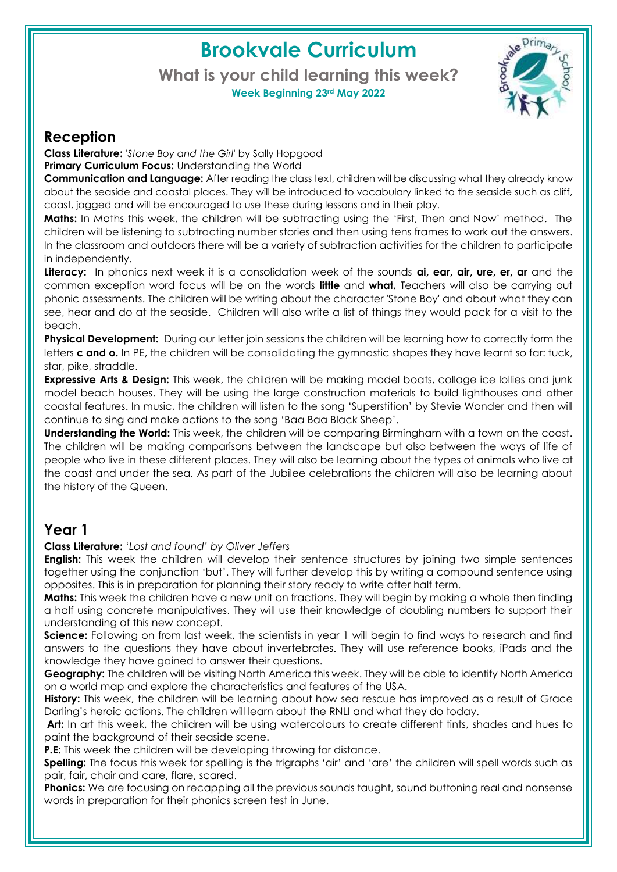# **Brookvale Curriculum**

**What is your child learning this week? Week Beginning 23rd May 2022**



#### **Reception**

**Class Literature:** *'Stone Boy and the Girl*' by Sally Hopgood **Primary Curriculum Focus:** Understanding the World

**Communication and Language:** After reading the class text, children will be discussing what they already know about the seaside and coastal places. They will be introduced to vocabulary linked to the seaside such as cliff, coast, jagged and will be encouraged to use these during lessons and in their play.

**Maths:** In Maths this week, the children will be subtracting using the 'First, Then and Now' method. The children will be listening to subtracting number stories and then using tens frames to work out the answers. In the classroom and outdoors there will be a variety of subtraction activities for the children to participate in independently.

**Literacy:** In phonics next week it is a consolidation week of the sounds **ai, ear, air, ure, er, ar** and the common exception word focus will be on the words **little** and **what.** Teachers will also be carrying out phonic assessments. The children will be writing about the character 'Stone Boy' and about what they can see, hear and do at the seaside. Children will also write a list of things they would pack for a visit to the beach.

**Physical Development:** During our letter join sessions the children will be learning how to correctly form the letters **c and o.** In PE, the children will be consolidating the gymnastic shapes they have learnt so far: tuck, star, pike, straddle.

**Expressive Arts & Design:** This week, the children will be making model boats, collage ice lollies and junk model beach houses. They will be using the large construction materials to build lighthouses and other coastal features. In music, the children will listen to the song 'Superstition' by Stevie Wonder and then will continue to sing and make actions to the song 'Baa Baa Black Sheep'.

**Understanding the World:** This week, the children will be comparing Birmingham with a town on the coast. The children will be making comparisons between the landscape but also between the ways of life of people who live in these different places. They will also be learning about the types of animals who live at the coast and under the sea. As part of the Jubilee celebrations the children will also be learning about the history of the Queen.

# **Year 1**

**Class Literature:** '*Lost and found' by Oliver Jeffers*

**English:** This week the children will develop their sentence structures by joining two simple sentences together using the conjunction 'but'. They will further develop this by writing a compound sentence using opposites. This is in preparation for planning their story ready to write after half term.

**Maths:** This week the children have a new unit on fractions. They will begin by making a whole then finding a half using concrete manipulatives. They will use their knowledge of doubling numbers to support their understanding of this new concept.

**Science:** Following on from last week, the scientists in year 1 will begin to find ways to research and find answers to the questions they have about invertebrates. They will use reference books, iPads and the knowledge they have gained to answer their questions.

**Geography:** The children will be visiting North America this week. They will be able to identify North America on a world map and explore the characteristics and features of the USA.

**History:** This week, the children will be learning about how sea rescue has improved as a result of Grace Darling's heroic actions. The children will learn about the RNLI and what they do today.

**Art:** In art this week, the children will be using watercolours to create different tints, shades and hues to paint the background of their seaside scene.

**P.E:** This week the children will be developing throwing for distance.

**Spelling:** The focus this week for spelling is the trigraphs 'air' and 'are' the children will spell words such as pair, fair, chair and care, flare, scared.

**Phonics:** We are focusing on recapping all the previous sounds taught, sound buttoning real and nonsense words in preparation for their phonics screen test in June.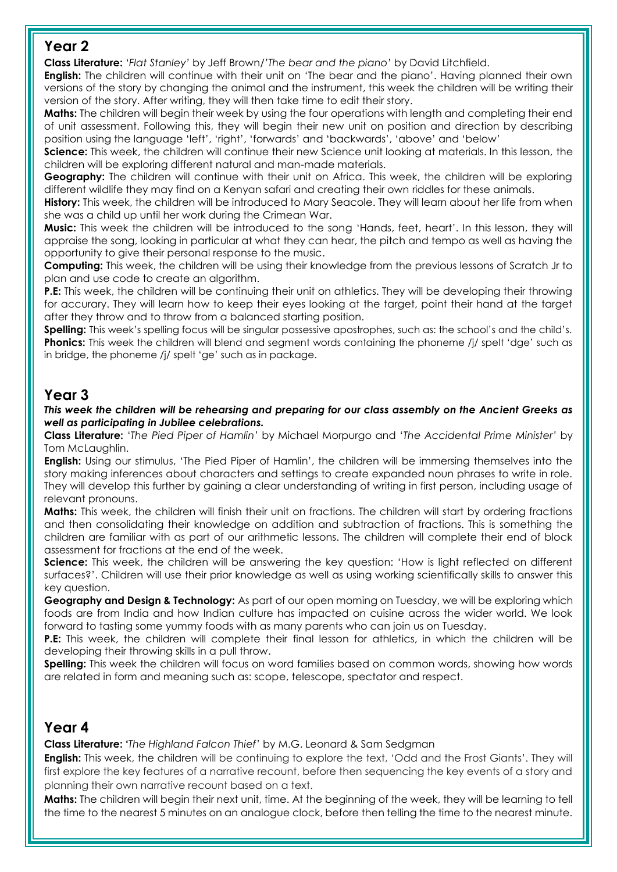#### **Year 2**

**Class Literature:** *'Flat Stanley'* by Jeff Brown/*'The bear and the piano'* by David Litchfield.

**English:** The children will continue with their unit on 'The bear and the piano'. Having planned their own versions of the story by changing the animal and the instrument, this week the children will be writing their version of the story. After writing, they will then take time to edit their story.

**Maths:** The children will begin their week by using the four operations with length and completing their end of unit assessment. Following this, they will begin their new unit on position and direction by describing position using the language 'left', 'right', 'forwards' and 'backwards', 'above' and 'below'

**Science:** This week, the children will continue their new Science unit looking at materials. In this lesson, the children will be exploring different natural and man-made materials.

**Geography:** The children will continue with their unit on Africa. This week, the children will be exploring different wildlife they may find on a Kenyan safari and creating their own riddles for these animals.

**History:** This week, the children will be introduced to Mary Seacole. They will learn about her life from when she was a child up until her work during the Crimean War.

**Music:** This week the children will be introduced to the song 'Hands, feet, heart'. In this lesson, they will appraise the song, looking in particular at what they can hear, the pitch and tempo as well as having the opportunity to give their personal response to the music.

**Computing:** This week, the children will be using their knowledge from the previous lessons of Scratch Jr to plan and use code to create an algorithm.

**P.E:** This week, the children will be continuing their unit on athletics. They will be developing their throwing for accurary. They will learn how to keep their eyes looking at the target, point their hand at the target after they throw and to throw from a balanced starting position.

**Spelling:** This week's spelling focus will be singular possessive apostrophes, such as: the school's and the child's. **Phonics:** This week the children will blend and segment words containing the phoneme /j/ spelt 'dge' such as in bridge, the phoneme /j/ spelt 'ge' such as in package.

# **Year 3**

*This week the children will be rehearsing and preparing for our class assembly on the Ancient Greeks as well as participating in Jubilee celebrations.* 

**Class Literature:** '*The Pied Piper of Hamlin'* by Michael Morpurgo and '*The Accidental Prime Minister'* by Tom McLaughlin.

**English:** Using our stimulus, 'The Pied Piper of Hamlin', the children will be immersing themselves into the story making inferences about characters and settings to create expanded noun phrases to write in role. They will develop this further by gaining a clear understanding of writing in first person, including usage of relevant pronouns.

**Maths:** This week, the children will finish their unit on fractions. The children will start by ordering fractions and then consolidating their knowledge on addition and subtraction of fractions. This is something the children are familiar with as part of our arithmetic lessons. The children will complete their end of block assessment for fractions at the end of the week.

**Science:** This week, the children will be answering the key question: 'How is light reflected on different surfaces?'. Children will use their prior knowledge as well as using working scientifically skills to answer this key question.

**Geography and Design & Technology:** As part of our open morning on Tuesday, we will be exploring which foods are from India and how Indian culture has impacted on cuisine across the wider world. We look forward to tasting some yummy foods with as many parents who can join us on Tuesday.

**P.E:** This week, the children will complete their final lesson for athletics, in which the children will be developing their throwing skills in a pull throw.

**Spelling:** This week the children will focus on word families based on common words, showing how words are related in form and meaning such as: scope, telescope, spectator and respect.

## **Year 4**

**Class Literature: '***The Highland Falcon Thief'* by M.G. Leonard & Sam Sedgman

**English:** This week, the children will be continuing to explore the text, 'Odd and the Frost Giants'. They will first explore the key features of a narrative recount, before then sequencing the key events of a story and planning their own narrative recount based on a text.

**Maths:** The children will begin their next unit, time. At the beginning of the week, they will be learning to tell the time to the nearest 5 minutes on an analogue clock, before then telling the time to the nearest minute.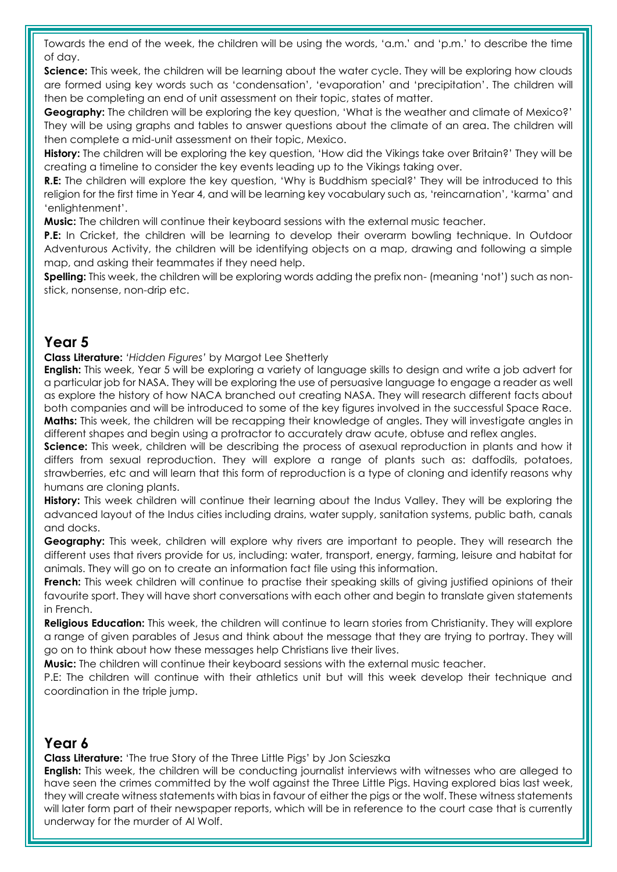Towards the end of the week, the children will be using the words, 'a.m.' and 'p.m.' to describe the time of day.

**Science:** This week, the children will be learning about the water cycle. They will be exploring how clouds are formed using key words such as 'condensation', 'evaporation' and 'precipitation'. The children will then be completing an end of unit assessment on their topic, states of matter.

**Geography:** The children will be exploring the key question, 'What is the weather and climate of Mexico?' They will be using graphs and tables to answer questions about the climate of an area. The children will then complete a mid-unit assessment on their topic, Mexico.

**History:** The children will be exploring the key question, 'How did the Vikings take over Britain?' They will be creating a timeline to consider the key events leading up to the Vikings taking over.

**R.E:** The children will explore the key question, 'Why is Buddhism special?' They will be introduced to this religion for the first time in Year 4, and will be learning key vocabulary such as, 'reincarnation', 'karma' and 'enlightenment'.

**Music:** The children will continue their keyboard sessions with the external music teacher.

**P.E:** In Cricket, the children will be learning to develop their overarm bowling technique. In Outdoor Adventurous Activity, the children will be identifying objects on a map, drawing and following a simple map, and asking their teammates if they need help.

**Spelling:** This week, the children will be exploring words adding the prefix non- (meaning 'not') such as nonstick, nonsense, non-drip etc.

#### **Year 5**

**Class Literature:** *'Hidden Figures'* by Margot Lee Shetterly

**English:** This week, Year 5 will be exploring a variety of language skills to design and write a job advert for a particular job for NASA. They will be exploring the use of persuasive language to engage a reader as well as explore the history of how NACA branched out creating NASA. They will research different facts about both companies and will be introduced to some of the key figures involved in the successful Space Race. **Maths:** This week, the children will be recapping their knowledge of angles. They will investigate angles in different shapes and begin using a protractor to accurately draw acute, obtuse and reflex angles.

**Science:** This week, children will be describing the process of asexual reproduction in plants and how it differs from sexual reproduction. They will explore a range of plants such as: daffodils, potatoes, strawberries, etc and will learn that this form of reproduction is a type of cloning and identify reasons why humans are cloning plants.

**History:** This week children will continue their learning about the Indus Valley. They will be exploring the advanced layout of the Indus cities including drains, water supply, sanitation systems, public bath, canals and docks.

**Geography:** This week, children will explore why rivers are important to people. They will research the different uses that rivers provide for us, including: water, transport, energy, farming, leisure and habitat for animals. They will go on to create an information fact file using this information.

French: This week children will continue to practise their speaking skills of giving justified opinions of their favourite sport. They will have short conversations with each other and begin to translate given statements in French.

Religious Education: This week, the children will continue to learn stories from Christianity. They will explore a range of given parables of Jesus and think about the message that they are trying to portray. They will go on to think about how these messages help Christians live their lives.

**Music:** The children will continue their keyboard sessions with the external music teacher.

P.E: The children will continue with their athletics unit but will this week develop their technique and coordination in the triple jump.

#### **Year 6**

**Class Literature:** 'The true Story of the Three Little Pigs' by Jon Scieszka

**English:** This week, the children will be conducting journalist interviews with witnesses who are alleged to have seen the crimes committed by the wolf against the Three Little Pigs. Having explored bias last week, they will create witness statements with bias in favour of either the pigs or the wolf. These witness statements will later form part of their newspaper reports, which will be in reference to the court case that is currently underway for the murder of Al Wolf.